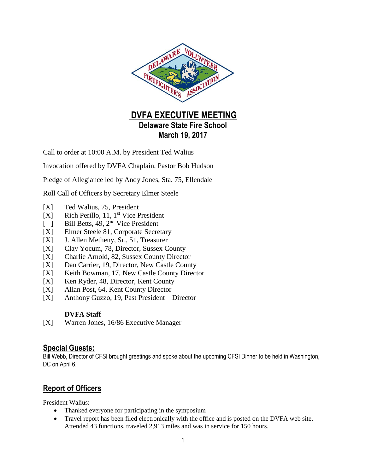

**March 19, 2017**

Call to order at 10:00 A.M. by President Ted Walius

Invocation offered by DVFA Chaplain, Pastor Bob Hudson

Pledge of Allegiance led by Andy Jones, Sta. 75, Ellendale

Roll Call of Officers by Secretary Elmer Steele

- [X] Ted Walius, 75, President
- [X] Rich Perillo, 11, 1<sup>st</sup> Vice President
- [ ] Bill Betts, 49, 2<sup>nd</sup> Vice President
- [X] Elmer Steele 81, Corporate Secretary
- [X] J. Allen Metheny, Sr., 51, Treasurer
- [X] Clay Yocum, 78, Director, Sussex County
- [X] Charlie Arnold, 82, Sussex County Director
- [X] Dan Carrier, 19, Director, New Castle County
- [X] Keith Bowman, 17, New Castle County Director
- [X] Ken Ryder, 48, Director, Kent County
- [X] Allan Post, 64, Kent County Director
- [X] Anthony Guzzo, 19, Past President Director

#### **DVFA Staff**

[X] Warren Jones, 16/86 Executive Manager

### **Special Guests:**

Bill Webb, Director of CFSI brought greetings and spoke about the upcoming CFSI Dinner to be held in Washington, DC on April 6.

# **Report of Officers**

President Walius:

- Thanked everyone for participating in the symposium
- Travel report has been filed electronically with the office and is posted on the DVFA web site. Attended 43 functions, traveled 2,913 miles and was in service for 150 hours.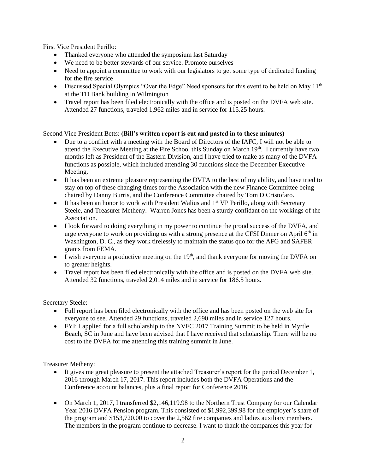First Vice President Perillo:

- Thanked everyone who attended the symposium last Saturday
- We need to be better stewards of our service. Promote ourselves
- Need to appoint a committee to work with our legislators to get some type of dedicated funding for the fire service
- $\bullet$  Discussed Special Olympics "Over the Edge" Need sponsors for this event to be held on May 11<sup>th</sup> at the TD Bank building in Wilmington
- Travel report has been filed electronically with the office and is posted on the DVFA web site. Attended 27 functions, traveled 1,962 miles and in service for 115.25 hours.

#### Second Vice President Betts: **(Bill's written report is cut and pasted in to these minutes)**

- Due to a conflict with a meeting with the Board of Directors of the IAFC, I will not be able to attend the Executive Meeting at the Fire School this Sunday on March 19<sup>th</sup>. I currently have two months left as President of the Eastern Division, and I have tried to make as many of the DVFA functions as possible, which included attending 30 functions since the December Executive Meeting.
- It has been an extreme pleasure representing the DVFA to the best of my ability, and have tried to stay on top of these changing times for the Association with the new Finance Committee being chaired by Danny Burris, and the Conference Committee chaired by Tom DiCristofaro.
- $\bullet$  It has been an honor to work with President Walius and 1<sup>st</sup> VP Perillo, along with Secretary Steele, and Treasurer Metheny. Warren Jones has been a sturdy confidant on the workings of the Association.
- I look forward to doing everything in my power to continue the proud success of the DVFA, and urge everyone to work on providing us with a strong presence at the CFSI Dinner on April  $6<sup>th</sup>$  in Washington, D. C., as they work tirelessly to maintain the status quo for the AFG and SAFER grants from FEMA.
- I wish everyone a productive meeting on the  $19<sup>th</sup>$ , and thank everyone for moving the DVFA on to greater heights.
- Travel report has been filed electronically with the office and is posted on the DVFA web site. Attended 32 functions, traveled 2,014 miles and in service for 186.5 hours.

Secretary Steele:

- Full report has been filed electronically with the office and has been posted on the web site for everyone to see. Attended 29 functions, traveled 2,690 miles and in service 127 hours.
- FYI: I applied for a full scholarship to the NVFC 2017 Training Summit to be held in Myrtle Beach, SC in June and have been advised that I have received that scholarship. There will be no cost to the DVFA for me attending this training summit in June.

Treasurer Metheny:

- It gives me great pleasure to present the attached Treasurer's report for the period December 1, 2016 through March 17, 2017. This report includes both the DVFA Operations and the Conference account balances, plus a final report for Conference 2016.
- On March 1, 2017, I transferred \$2,146,119.98 to the Northern Trust Company for our Calendar Year 2016 DVFA Pension program. This consisted of \$1,992,399.98 for the employer's share of the program and \$153,720.00 to cover the 2,562 fire companies and ladies auxiliary members. The members in the program continue to decrease. I want to thank the companies this year for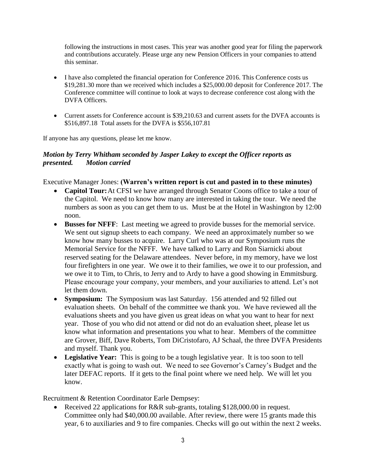following the instructions in most cases. This year was another good year for filing the paperwork and contributions accurately. Please urge any new Pension Officers in your companies to attend this seminar.

- I have also completed the financial operation for Conference 2016. This Conference costs us \$19,281.30 more than we received which includes a \$25,000.00 deposit for Conference 2017. The Conference committee will continue to look at ways to decrease conference cost along with the DVFA Officers.
- Current assets for Conference account is \$39,210.63 and current assets for the DVFA accounts is \$516,897.18 Total assets for the DVFA is \$556,107.81

If anyone has any questions, please let me know.

#### *Motion by Terry Whitham seconded by Jasper Lakey to except the Officer reports as presented. Motion carried*

Executive Manager Jones: **(Warren's written report is cut and pasted in to these minutes)**

- **Capitol Tour:** At CFSI we have arranged through Senator Coons office to take a tour of the Capitol. We need to know how many are interested in taking the tour. We need the numbers as soon as you can get them to us. Must be at the Hotel in Washington by 12:00 noon.
- **Busses for NFFF**: Last meeting we agreed to provide busses for the memorial service. We sent out signup sheets to each company. We need an approximately number so we know how many busses to acquire. Larry Curl who was at our Symposium runs the Memorial Service for the NFFF. We have talked to Larry and Ron Siarnicki about reserved seating for the Delaware attendees. Never before, in my memory, have we lost four firefighters in one year. We owe it to their families, we owe it to our profession, and we owe it to Tim, to Chris, to Jerry and to Ardy to have a good showing in Emmitsburg. Please encourage your company, your members, and your auxiliaries to attend. Let's not let them down.
- **Symposium:** The Symposium was last Saturday. 156 attended and 92 filled out evaluation sheets. On behalf of the committee we thank you. We have reviewed all the evaluations sheets and you have given us great ideas on what you want to hear for next year. Those of you who did not attend or did not do an evaluation sheet, please let us know what information and presentations you what to hear. Members of the committee are Grover, Biff, Dave Roberts, Tom DiCristofaro, AJ Schaal, the three DVFA Presidents and myself. Thank you.
- **Legislative Year:** This is going to be a tough legislative year. It is too soon to tell exactly what is going to wash out. We need to see Governor's Carney's Budget and the later DEFAC reports. If it gets to the final point where we need help. We will let you know.

Recruitment & Retention Coordinator Earle Dempsey:

• Received 22 applications for R&R sub-grants, totaling \$128,000.00 in request. Committee only had \$40,000.00 available. After review, there were 15 grants made this year, 6 to auxiliaries and 9 to fire companies. Checks will go out within the next 2 weeks.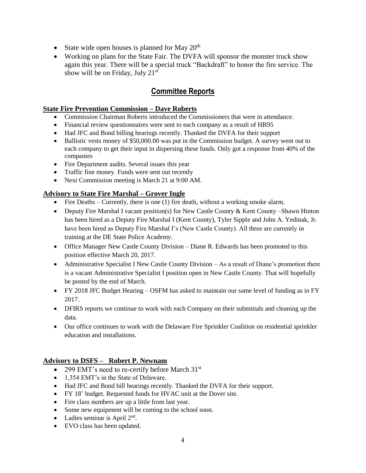- State wide open houses is planned for May  $20<sup>th</sup>$
- Working on plans for the State Fair. The DVFA will sponsor the monster truck show again this year. There will be a special truck "Backdraft" to honor the fire service. The show will be on Friday, July  $21<sup>st</sup>$

# **Committee Reports**

#### **State Fire Prevention Commission – Dave Roberts**

- Commission Chairman Roberts introduced the Commissioners that were in attendance.
- Financial review questionnaires were sent to each company as a result of HR95
- Had JFC and Bond billing hearings recently. Thanked the DVFA for their support
- Ballistic vests money of \$50,000.00 was put in the Commission budget. A survey went out to each company to get their input in dispersing these funds. Only got a response from 40% of the companies
- Fire Department audits. Several issues this year
- Traffic fine money. Funds were sent out recently
- Next Commission meeting is March 21 at 9:00 AM.

#### **Advisory to State Fire Marshal – Grover Ingle**

- Fire Deaths Currently, there is one (1) fire death, without a working smoke alarm.
- Deputy Fire Marshal I vacant position(s) for New Castle County & Kent County –Shawn Hinton has been hired as a Deputy Fire Marshal I (Kent County), Tyler Sipple and John A. Yedinak, Jr. have been hired as Deputy Fire Marshal I's (New Castle County). All three are currently in training at the DE State Police Academy.
- Office Manager New Castle County Division Diane R. Edwards has been promoted to this position effective March 20, 2017.
- Administrative Specialist I New Castle County Division  $-$  As a result of Diane's promotion there is a vacant Administrative Specialist I position open in New Castle County. That will hopefully be posted by the end of March.
- FY 2018 JFC Budget Hearing OSFM has asked to maintain our same level of funding as in FY 2017.
- DFIRS reports we continue to work with each Company on their submittals and cleaning up the data.
- Our office continues to work with the Delaware Fire Sprinkler Coalition on residential sprinkler education and installations.

#### **Advisory to DSFS – Robert P. Newnam**

- 299 EMT's need to re-certify before March  $31<sup>st</sup>$
- 1,354 EMT's in the State of Delaware.
- Had JFC and Bond bill hearings recently. Thanked the DVFA for their support.
- FY 18' budget. Requested funds for HVAC unit at the Dover site.
- Fire class numbers are up a little from last year.
- Some new equipment will be coming to the school soon.
- Ladies seminar is April  $2<sup>nd</sup>$ .
- EVO class has been updated.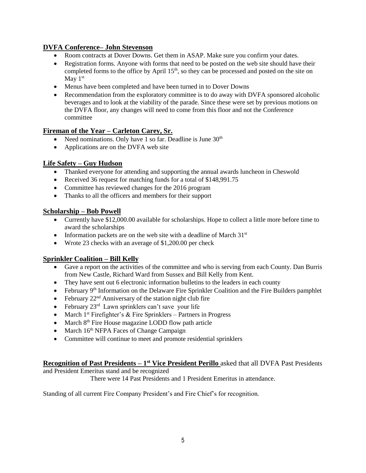#### **DVFA Conference– John Stevenson**

- Room contracts at Dover Downs. Get them in ASAP. Make sure you confirm your dates.
- Registration forms. Anyone with forms that need to be posted on the web site should have their completed forms to the office by April 15<sup>th</sup>, so they can be processed and posted on the site on May 1st
- Menus have been completed and have been turned in to Dover Downs
- Recommendation from the exploratory committee is to do away with DVFA sponsored alcoholic beverages and to look at the viability of the parade. Since these were set by previous motions on the DVFA floor, any changes will need to come from this floor and not the Conference committee

#### **Fireman of the Year – Carleton Carey, Sr.**

- Need nominations. Only have 1 so far. Deadline is June  $30<sup>th</sup>$
- Applications are on the DVFA web site

#### **Life Safety – Guy Hudson**

- Thanked everyone for attending and supporting the annual awards luncheon in Cheswold
- Received 36 request for matching funds for a total of \$148,991.75
- Committee has reviewed changes for the 2016 program
- Thanks to all the officers and members for their support

#### **Scholarship – Bob Powell**

- Currently have \$12,000.00 available for scholarships. Hope to collect a little more before time to award the scholarships
- Information packets are on the web site with a deadline of March  $31<sup>st</sup>$
- Wrote 23 checks with an average of \$1,200.00 per check

#### **Sprinkler Coalition – Bill Kelly**

- Gave a report on the activities of the committee and who is serving from each County. Dan Burris from New Castle, Richard Ward from Sussex and Bill Kelly from Kent.
- They have sent out 6 electronic information bulletins to the leaders in each county
- February 9<sup>th</sup> Information on the Delaware Fire Sprinkler Coalition and the Fire Builders pamphlet
- February  $22<sup>nd</sup>$  Anniversary of the station night club fire
- February 23<sup>rd</sup> Lawn sprinklers can't save your life
- March  $1^{st}$  Firefighter's & Fire Sprinklers Partners in Progress
- March  $8<sup>th</sup>$  Fire House magazine LODD flow path article
- March  $16<sup>th</sup>$  NFPA Faces of Change Campaign
- Committee will continue to meet and promote residential sprinklers

#### **Recognition of Past Presidents – 1<sup>st</sup> Vice President Perillo** asked that all DVFA Past Presidents

and President Emeritus stand and be recognized

There were 14 Past Presidents and 1 President Emeritus in attendance.

Standing of all current Fire Company President's and Fire Chief's for recognition.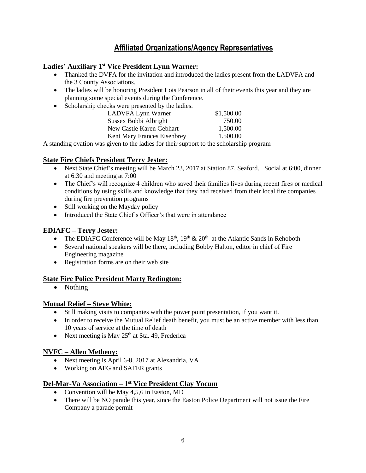# **Affiliated Organizations/Agency Representatives**

#### **Ladies' Auxiliary 1 st Vice President Lynn Warner:**

- Thanked the DVFA for the invitation and introduced the ladies present from the LADVFA and the 3 County Associations.
- The ladies will be honoring President Lois Pearson in all of their events this year and they are planning some special events during the Conference.
- Scholarship checks were presented by the ladies.

| LADVFA Lynn Warner                 | \$1,500.00 |
|------------------------------------|------------|
| Sussex Bobbi Albright              | 750.00     |
| New Castle Karen Gebhart           | 1.500.00   |
| <b>Kent Mary Frances Eisenbrey</b> | 1.500.00   |
|                                    |            |

A standing ovation was given to the ladies for their support to the scholarship program

#### **State Fire Chiefs President Terry Jester:**

- Next State Chief's meeting will be March 23, 2017 at Station 87, Seaford. Social at 6:00, dinner at 6:30 and meeting at 7:00
- The Chief's will recognize 4 children who saved their families lives during recent fires or medical conditions by using skills and knowledge that they had received from their local fire companies during fire prevention programs
- Still working on the Mayday policy
- Introduced the State Chief's Officer's that were in attendance

#### **EDIAFC – Terry Jester:**

- The EDIAFC Conference will be May  $18<sup>th</sup>$ ,  $19<sup>th</sup>$  &  $20<sup>th</sup>$  at the Atlantic Sands in Rehoboth
- Several national speakers will be there, including Bobby Halton, editor in chief of Fire Engineering magazine
- Registration forms are on their web site

#### **State Fire Police President Marty Redington:**

• Nothing

#### **Mutual Relief – Steve White:**

- Still making visits to companies with the power point presentation, if you want it.
- In order to receive the Mutual Relief death benefit, you must be an active member with less than 10 years of service at the time of death
- Next meeting is May  $25<sup>th</sup>$  at Sta. 49, Frederica

#### **NVFC – Allen Metheny:**

- Next meeting is April 6-8, 2017 at Alexandria, VA
- Working on AFG and SAFER grants

#### **Del-Mar-Va Association – 1 st Vice President Clay Yocum**

- Convention will be May 4,5,6 in Easton, MD
- There will be NO parade this year, since the Easton Police Department will not issue the Fire Company a parade permit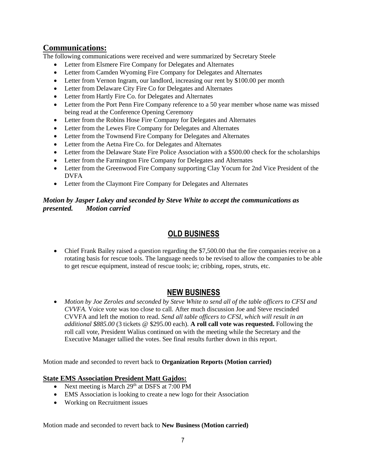# **Communications:**

The following communications were received and were summarized by Secretary Steele

- Letter from Elsmere Fire Company for Delegates and Alternates
- Letter from Camden Wyoming Fire Company for Delegates and Alternates
- Letter from Vernon Ingram, our landlord, increasing our rent by \$100.00 per month
- Letter from Delaware City Fire Co for Delegates and Alternates
- Letter from Hartly Fire Co. for Delegates and Alternates
- Letter from the Port Penn Fire Company reference to a 50 year member whose name was missed being read at the Conference Opening Ceremony
- Letter from the Robins Hose Fire Company for Delegates and Alternates
- Letter from the Lewes Fire Company for Delegates and Alternates
- Letter from the Townsend Fire Company for Delegates and Alternates
- Letter from the Aetna Fire Co. for Delegates and Alternates
- Letter from the Delaware State Fire Police Association with a \$500.00 check for the scholarships
- Letter from the Farmington Fire Company for Delegates and Alternates
- Letter from the Greenwood Fire Company supporting Clay Yocum for 2nd Vice President of the DVFA
- Letter from the Claymont Fire Company for Delegates and Alternates

#### *Motion by Jasper Lakey and seconded by Steve White to accept the communications as presented. Motion carried*

# **OLD BUSINESS**

 Chief Frank Bailey raised a question regarding the \$7,500.00 that the fire companies receive on a rotating basis for rescue tools. The language needs to be revised to allow the companies to be able to get rescue equipment, instead of rescue tools; ie; cribbing, ropes, struts, etc.

# **NEW BUSINESS**

 *Motion by Joe Zeroles and seconded by Steve White to send all of the table officers to CFSI and CVVFA.* Voice vote was too close to call*.* After much discussion Joe and Steve rescinded CVVFA and left the motion to read. *Send all table officers to CFSI, which will result in an additional \$885.00* (3 tickets @ \$295.00 each)*.* **A roll call vote was requested.** Following the roll call vote, President Walius continued on with the meeting while the Secretary and the Executive Manager tallied the votes. See final results further down in this report.

Motion made and seconded to revert back to **Organization Reports (Motion carried)**

#### **State EMS Association President Matt Gajdos:**

- Next meeting is March 29<sup>th</sup> at DSFS at 7:00 PM
- EMS Association is looking to create a new logo for their Association
- Working on Recruitment issues

Motion made and seconded to revert back to **New Business (Motion carried)**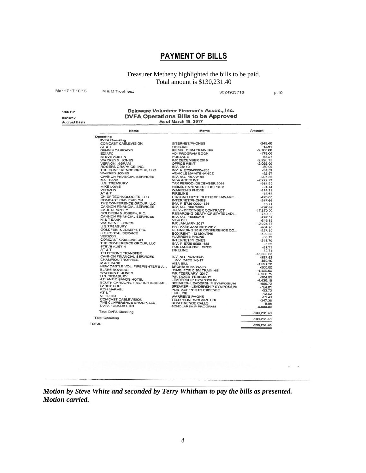# **PAYMENT OF BILLS**

Treasurer Metheny highlighted the bills to be paid. Total amount is \$130,231.40

| Mar 17 17 10:15 | M & M TrophiesJ | 3024923718 | p.10 |
|-----------------|-----------------|------------|------|
|                 |                 |            |      |

1:06 PM 03/16/17 **Accrual Basis** 

# Delaware Volunteer Fireman's Assoc., Inc.<br>DVFA Operations Bills to be Approved<br>As of March 18, 2017

| Name                                                                                                                                                                                                                                            | Memo                                                                                                                                                                                                                                                      | Amount        |
|-------------------------------------------------------------------------------------------------------------------------------------------------------------------------------------------------------------------------------------------------|-----------------------------------------------------------------------------------------------------------------------------------------------------------------------------------------------------------------------------------------------------------|---------------|
| Operating                                                                                                                                                                                                                                       | <b>SPACE ASSESS AND SERVICES</b><br>AND COMCAST CABLEVISION<br>AT A THRELINE COMMANDS CARRADIN<br>STEVE AUSTIN<br>STEVE AUSTIN<br>WARREN F. JONES<br>VERNON INGRAM<br>NO PROGRAM BOOK<br>NARREN F. JONES<br>NARREN JONES<br>CENDER SCRAPHICS, INC.<br>THE |               |
|                                                                                                                                                                                                                                                 |                                                                                                                                                                                                                                                           |               |
|                                                                                                                                                                                                                                                 |                                                                                                                                                                                                                                                           | $-249.40$     |
|                                                                                                                                                                                                                                                 |                                                                                                                                                                                                                                                           | $-12.64$      |
|                                                                                                                                                                                                                                                 |                                                                                                                                                                                                                                                           | $-2.100.00$   |
|                                                                                                                                                                                                                                                 |                                                                                                                                                                                                                                                           | $-175.00$     |
|                                                                                                                                                                                                                                                 |                                                                                                                                                                                                                                                           | $-53.27$      |
|                                                                                                                                                                                                                                                 |                                                                                                                                                                                                                                                           | $-2.926.75$   |
|                                                                                                                                                                                                                                                 |                                                                                                                                                                                                                                                           | $-2.055.00$   |
|                                                                                                                                                                                                                                                 |                                                                                                                                                                                                                                                           | $-50.00$      |
|                                                                                                                                                                                                                                                 |                                                                                                                                                                                                                                                           | $-31.39$      |
|                                                                                                                                                                                                                                                 |                                                                                                                                                                                                                                                           | $-52.97$      |
|                                                                                                                                                                                                                                                 |                                                                                                                                                                                                                                                           | $-297.82$     |
|                                                                                                                                                                                                                                                 |                                                                                                                                                                                                                                                           | $-2,277.97$   |
|                                                                                                                                                                                                                                                 |                                                                                                                                                                                                                                                           | $-964.90$     |
|                                                                                                                                                                                                                                                 |                                                                                                                                                                                                                                                           | $-24.14$      |
| <b>VERIZON</b>                                                                                                                                                                                                                                  | <b>WARREN'S PHONE</b>                                                                                                                                                                                                                                     | $-114.19$     |
|                                                                                                                                                                                                                                                 |                                                                                                                                                                                                                                                           |               |
|                                                                                                                                                                                                                                                 | ME LOWER COMPRESS (MARREN'S PHONE COMPRESS 2017<br>TANK COMPRESS (MARREN'S PHONE COMPRESS) 2020<br>CHEP COMPRESS (MARREN'S PHONE COMPRESS) 2020<br>CHEP COMPRESS (MARREN'S PHONE 2020)<br>COMPRESS (MARREN'S ENVIRONMENT PROPHETIC MAN                    |               |
|                                                                                                                                                                                                                                                 |                                                                                                                                                                                                                                                           |               |
|                                                                                                                                                                                                                                                 |                                                                                                                                                                                                                                                           |               |
|                                                                                                                                                                                                                                                 |                                                                                                                                                                                                                                                           |               |
|                                                                                                                                                                                                                                                 |                                                                                                                                                                                                                                                           |               |
|                                                                                                                                                                                                                                                 |                                                                                                                                                                                                                                                           |               |
|                                                                                                                                                                                                                                                 |                                                                                                                                                                                                                                                           |               |
|                                                                                                                                                                                                                                                 |                                                                                                                                                                                                                                                           |               |
|                                                                                                                                                                                                                                                 |                                                                                                                                                                                                                                                           |               |
|                                                                                                                                                                                                                                                 |                                                                                                                                                                                                                                                           |               |
|                                                                                                                                                                                                                                                 |                                                                                                                                                                                                                                                           |               |
|                                                                                                                                                                                                                                                 |                                                                                                                                                                                                                                                           |               |
|                                                                                                                                                                                                                                                 |                                                                                                                                                                                                                                                           |               |
|                                                                                                                                                                                                                                                 |                                                                                                                                                                                                                                                           |               |
|                                                                                                                                                                                                                                                 |                                                                                                                                                                                                                                                           |               |
|                                                                                                                                                                                                                                                 |                                                                                                                                                                                                                                                           |               |
|                                                                                                                                                                                                                                                 |                                                                                                                                                                                                                                                           |               |
|                                                                                                                                                                                                                                                 |                                                                                                                                                                                                                                                           |               |
|                                                                                                                                                                                                                                                 |                                                                                                                                                                                                                                                           |               |
|                                                                                                                                                                                                                                                 |                                                                                                                                                                                                                                                           |               |
|                                                                                                                                                                                                                                                 |                                                                                                                                                                                                                                                           |               |
|                                                                                                                                                                                                                                                 |                                                                                                                                                                                                                                                           |               |
|                                                                                                                                                                                                                                                 |                                                                                                                                                                                                                                                           |               |
|                                                                                                                                                                                                                                                 |                                                                                                                                                                                                                                                           |               |
|                                                                                                                                                                                                                                                 | U.S. TREASURY<br>ATLANTIC SANDS HOTEL LEADERSHIP SYMPOSIUM<br>SOUTH CAROLINE FIREFIGHTERS AS SPEAKER - LEADERSHIP SYMPOSIUM<br>LARRY CURL LEADERSHIP SYMPOSIUM                                                                                            |               |
|                                                                                                                                                                                                                                                 |                                                                                                                                                                                                                                                           |               |
|                                                                                                                                                                                                                                                 |                                                                                                                                                                                                                                                           | $-699,70$     |
|                                                                                                                                                                                                                                                 |                                                                                                                                                                                                                                                           | $-724.81$     |
|                                                                                                                                                                                                                                                 | POSTAGE/PHOTO EXPENSE                                                                                                                                                                                                                                     | $-53.70$      |
|                                                                                                                                                                                                                                                 |                                                                                                                                                                                                                                                           | $-12.62$      |
|                                                                                                                                                                                                                                                 |                                                                                                                                                                                                                                                           | $-61.49$      |
|                                                                                                                                                                                                                                                 |                                                                                                                                                                                                                                                           | $-247.36$     |
|                                                                                                                                                                                                                                                 |                                                                                                                                                                                                                                                           | $-8.98$       |
| FOR MARVEL<br>FOR MARVEL<br>TELEVISOR FIRELINE<br>COMEAST CABLEVISION<br>COMEAST CABLEVISION<br>COMEAST CABLEVISION<br>THE CONFERENCE GROUP, LLC<br>COMEAST COMEAST COMEAST COMEAST CALLS<br>DVFA FOUNDATION<br>COMEAST COMEAST COMEAST COMEAST |                                                                                                                                                                                                                                                           | $-6,000.00$   |
| <b>Total DVFA Checking</b>                                                                                                                                                                                                                      |                                                                                                                                                                                                                                                           | $-130,231.40$ |
| <b>Total Operating</b>                                                                                                                                                                                                                          |                                                                                                                                                                                                                                                           | $-130,231,40$ |
| <b>TOTAL</b>                                                                                                                                                                                                                                    |                                                                                                                                                                                                                                                           |               |

*Motion by Steve White and seconded by Terry Whitham to pay the bills as presented. Motion carried.*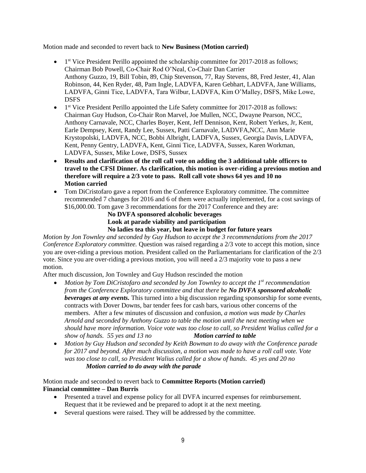Motion made and seconded to revert back to **New Business (Motion carried)**

- 1<sup>st</sup> Vice President Perillo appointed the scholarship committee for 2017-2018 as follows; Chairman Bob Powell, Co-Chair Rod O'Neal, Co-Chair Dan Carrier Anthony Guzzo, 19, Bill Tobin, 89, Chip Stevenson, 77, Ray Stevens, 88, Fred Jester, 41, Alan Robinson, 44, Ken Ryder, 48, Pam Ingle, LADVFA, Karen Gebhart, LADVFA, Jane Williams, LADVFA, Ginni Tice, LADVFA, Tara Wilbur, LADVFA, Kim O'Malley, DSFS, Mike Lowe, DSFS
- 1<sup>st</sup> Vice President Perillo appointed the Life Safety committee for 2017-2018 as follows: Chairman Guy Hudson, Co-Chair Ron Marvel, Joe Mullen, NCC, Dwayne Pearson, NCC, Anthony Carnavale, NCC, Charles Boyer, Kent, Jeff Dennison, Kent, Robert Yerkes, Jr, Kent, Earle Dempsey, Kent, Randy Lee, Sussex, Patti Carnavale, LADVFA,NCC, Ann Marie Krystopolski, LADVFA, NCC, Bobbi Albright, LADFVA, Sussex, Georgia Davis, LADVFA, Kent, Penny Gentry, LADVFA, Kent, Ginni Tice, LADVFA, Sussex, Karen Workman, LADVFA, Sussex, Mike Lowe, DSFS, Sussex
- **Results and clarification of the roll call vote on adding the 3 additional table officers to travel to the CFSI Dinner. As clarification, this motion is over-riding a previous motion and therefore will require a 2/3 vote to pass. Roll call vote shows 64 yes and 10 no Motion carried**
- Tom DiCristofaro gave a report from the Conference Exploratory committee. The committee recommended 7 changes for 2016 and 6 of them were actually implemented, for a cost savings of \$16,000.00. Tom gave 3 recommendations for the 2017 Conference and they are:

#### **No DVFA sponsored alcoholic beverages Look at parade viability and participation No ladies tea this year, but leave in budget for future years**

*Motion by Jon Townley and seconded by Guy Hudson to accept the 3 recommendations from the 2017 Conference Exploratory committee.* Question was raised regarding a 2/3 vote to accept this motion, since you are over-riding a previous motion. President called on the Parliamentarians for clarification of the 2/3 vote. Since you are over-riding a previous motion, you will need a 2/3 majority vote to pass a new motion.

After much discussion, Jon Townley and Guy Hudson rescinded the motion

- *Motion by Tom DiCristofaro and seconded by Jon Townley to accept the 1st recommendation from the Conference Exploratory committee and that there be No DVFA sponsored alcoholic beverages at any events.* This turned into a big discussion regarding sponsorship for some events, contracts with Dover Downs, bar tender fees for cash bars, various other concerns of the members. After a few minutes of discussion and confusion, *a motion was made by Charles Arnold and seconded by Anthony Guzzo to table the motion until the next meeting when we should have more information. Voice vote was too close to call, so President Walius called for a show of hands. 55 yes and 13 no Motion carried to table*
- *Motion by Guy Hudson and seconded by Keith Bowman to do away with the Conference parade for 2017 and beyond. After much discussion, a motion was made to have a roll call vote. Vote was too close to call, so President Walius called for a show of hands. 45 yes and 20 no Motion carried to do away with the parade*

Motion made and seconded to revert back to **Committee Reports (Motion carried) Financial committee – Dan Burris**

- Presented a travel and expense policy for all DVFA incurred expenses for reimbursement. Request that it be reviewed and be prepared to adopt it at the next meeting.
- Several questions were raised. They will be addressed by the committee.